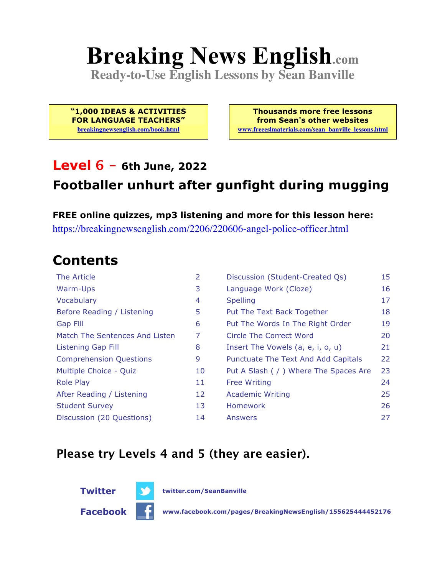# **Breaking News English.com**

**Ready-to-Use English Lessons by Sean Banville**

**"1,000 IDEAS & ACTIVITIES FOR LANGUAGE TEACHERS" breakingnewsenglish.com/book.html**

**Thousands more free lessons from Sean's other websites www.freeeslmaterials.com/sean\_banville\_lessons.html**

#### **Level 6 - 6th June, 2022**

#### **Footballer unhurt after gunfight during mugging**

**FREE online quizzes, mp3 listening and more for this lesson here:** https://breakingnewsenglish.com/2206/220606-angel-police-officer.html

### **Contents**

| The Article                    | 2  | Discussion (Student-Created Qs)        | 15 |
|--------------------------------|----|----------------------------------------|----|
| Warm-Ups                       | 3  | Language Work (Cloze)                  | 16 |
| Vocabulary                     | 4  | <b>Spelling</b>                        | 17 |
| Before Reading / Listening     | 5  | Put The Text Back Together             | 18 |
| Gap Fill                       | 6  | Put The Words In The Right Order       | 19 |
| Match The Sentences And Listen | 7  | Circle The Correct Word                | 20 |
| Listening Gap Fill             | 8  | Insert The Vowels (a, e, i, o, u)      | 21 |
| <b>Comprehension Questions</b> | 9  | Punctuate The Text And Add Capitals    | 22 |
| Multiple Choice - Quiz         | 10 | Put A Slash ( / ) Where The Spaces Are | 23 |
| <b>Role Play</b>               | 11 | <b>Free Writing</b>                    | 24 |
| After Reading / Listening      | 12 | <b>Academic Writing</b>                | 25 |
| <b>Student Survey</b>          | 13 | Homework                               | 26 |
| Discussion (20 Questions)      | 14 | Answers                                | 27 |

#### **Please try Levels 4 and 5 (they are easier).**



**Twitter twitter.com/SeanBanville**

**Facebook www.facebook.com/pages/BreakingNewsEnglish/155625444452176**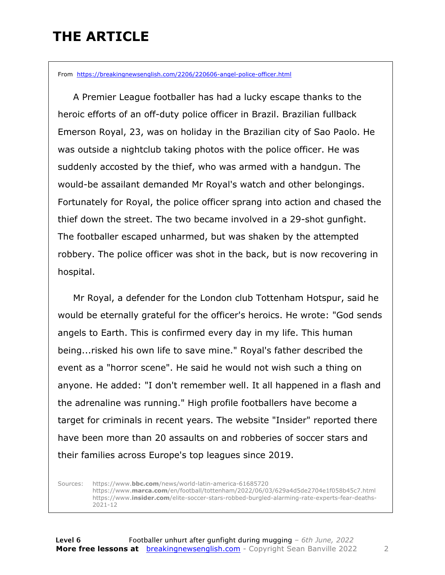### **THE ARTICLE**

From https://breakingnewsenglish.com/2206/220606-angel-police-officer.html

 A Premier League footballer has had a lucky escape thanks to the heroic efforts of an off-duty police officer in Brazil. Brazilian fullback Emerson Royal, 23, was on holiday in the Brazilian city of Sao Paolo. He was outside a nightclub taking photos with the police officer. He was suddenly accosted by the thief, who was armed with a handgun. The would-be assailant demanded Mr Royal's watch and other belongings. Fortunately for Royal, the police officer sprang into action and chased the thief down the street. The two became involved in a 29-shot gunfight. The footballer escaped unharmed, but was shaken by the attempted robbery. The police officer was shot in the back, but is now recovering in hospital.

 Mr Royal, a defender for the London club Tottenham Hotspur, said he would be eternally grateful for the officer's heroics. He wrote: "God sends angels to Earth. This is confirmed every day in my life. This human being...risked his own life to save mine." Royal's father described the event as a "horror scene". He said he would not wish such a thing on anyone. He added: "I don't remember well. It all happened in a flash and the adrenaline was running." High profile footballers have become a target for criminals in recent years. The website "Insider" reported there have been more than 20 assaults on and robberies of soccer stars and their families across Europe's top leagues since 2019.

Sources: https://www.**bbc.com**/news/world-latin-america-61685720 https://www.**marca.com**/en/football/tottenham/2022/06/03/629a4d5de2704e1f058b45c7.html https://www.**insider.com**/elite-soccer-stars-robbed-burgled-alarming-rate-experts-fear-deaths-2021-12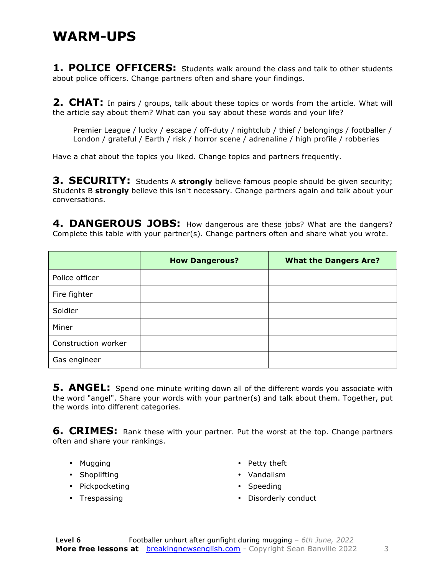#### **WARM-UPS**

**1. POLICE OFFICERS:** Students walk around the class and talk to other students about police officers. Change partners often and share your findings.

**2. CHAT:** In pairs / groups, talk about these topics or words from the article. What will the article say about them? What can you say about these words and your life?

Premier League / lucky / escape / off-duty / nightclub / thief / belongings / footballer / London / grateful / Earth / risk / horror scene / adrenaline / high profile / robberies

Have a chat about the topics you liked. Change topics and partners frequently.

**3. SECURITY:** Students A strongly believe famous people should be given security; Students B **strongly** believe this isn't necessary. Change partners again and talk about your conversations.

4. DANGEROUS JOBS: How dangerous are these jobs? What are the dangers? Complete this table with your partner(s). Change partners often and share what you wrote.

|                     | <b>How Dangerous?</b> | <b>What the Dangers Are?</b> |
|---------------------|-----------------------|------------------------------|
| Police officer      |                       |                              |
| Fire fighter        |                       |                              |
| Soldier             |                       |                              |
| Miner               |                       |                              |
| Construction worker |                       |                              |
| Gas engineer        |                       |                              |

**5. ANGEL:** Spend one minute writing down all of the different words you associate with the word "angel". Share your words with your partner(s) and talk about them. Together, put the words into different categories.

**6. CRIMES:** Rank these with your partner. Put the worst at the top. Change partners often and share your rankings.

- Mugging
- Shoplifting
- Pickpocketing
- Trespassing
- Petty theft
- Vandalism
- Speeding
- Disorderly conduct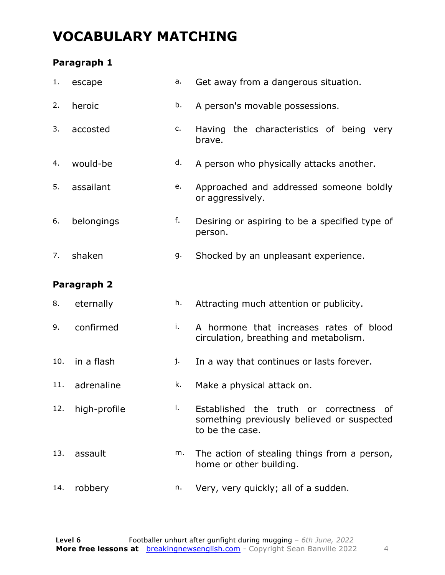### **VOCABULARY MATCHING**

#### **Paragraph 1**

| 1.  | escape       | a. | Get away from a dangerous situation.                                                                     |  |  |  |  |  |
|-----|--------------|----|----------------------------------------------------------------------------------------------------------|--|--|--|--|--|
| 2.  | heroic       | b. | A person's movable possessions.                                                                          |  |  |  |  |  |
| 3.  | accosted     | c. | Having the characteristics of being very<br>brave.                                                       |  |  |  |  |  |
| 4.  | would-be     | d. | A person who physically attacks another.                                                                 |  |  |  |  |  |
| 5.  | assailant    | e. | Approached and addressed someone boldly<br>or aggressively.                                              |  |  |  |  |  |
| 6.  | belongings   | f. | Desiring or aspiring to be a specified type of<br>person.                                                |  |  |  |  |  |
| 7.  | shaken       | g. | Shocked by an unpleasant experience.                                                                     |  |  |  |  |  |
|     | Paragraph 2  |    |                                                                                                          |  |  |  |  |  |
| 8.  | eternally    | h. | Attracting much attention or publicity.                                                                  |  |  |  |  |  |
|     |              |    | A hormone that increases rates of blood<br>circulation, breathing and metabolism.                        |  |  |  |  |  |
| 9.  | confirmed    | i. |                                                                                                          |  |  |  |  |  |
| 10. | in a flash   | j. | In a way that continues or lasts forever.                                                                |  |  |  |  |  |
| 11. | adrenaline   | k. | Make a physical attack on.                                                                               |  |  |  |  |  |
| 12. | high-profile | Τ. | Established the truth or correctness of<br>something previously believed or suspected<br>to be the case. |  |  |  |  |  |
| 13. | assault      | m. | The action of stealing things from a person,<br>home or other building.                                  |  |  |  |  |  |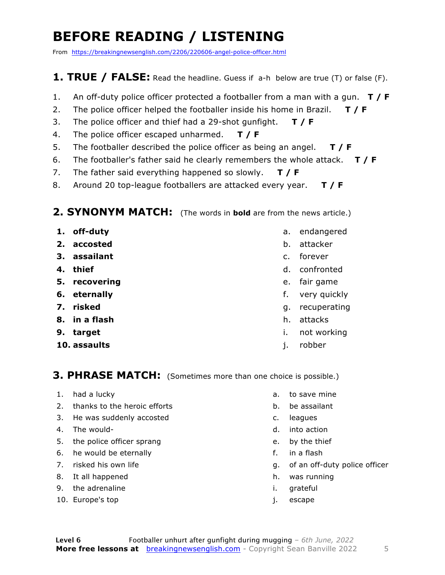### **BEFORE READING / LISTENING**

From https://breakingnewsenglish.com/2206/220606-angel-police-officer.html

#### **1. TRUE / FALSE:** Read the headline. Guess if a-h below are true (T) or false (F).

- 1. An off-duty police officer protected a footballer from a man with a gun. **T / F**
- 2. The police officer helped the footballer inside his home in Brazil. **T / F**
- 3. The police officer and thief had a 29-shot gunfight. **T / F**
- 4. The police officer escaped unharmed. **T / F**
- 5. The footballer described the police officer as being an angel. **T / F**
- 6. The footballer's father said he clearly remembers the whole attack. **T / F**
- 7. The father said everything happened so slowly. **T / F**
- 8. Around 20 top-league footballers are attacked every year. **T / F**

#### **2. SYNONYM MATCH:** (The words in **bold** are from the news article.)

- **1. off-duty**
- **2. accosted**
- **3. assailant**
- **4. thief**
- **5. recovering**
- **6. eternally**
- **7. risked**
- **8. in a flash**
- **9. target**
- **10. assaults**
- a. endangered
- b. attacker
- c. forever
- d. confronted
- e. fair game
- f. very quickly
- g. recuperating
- h. attacks
- i. not working
- j. robber

#### **3. PHRASE MATCH:** (Sometimes more than one choice is possible.)

- 1. had a lucky
- 2. thanks to the heroic efforts
- 3. He was suddenly accosted
- 4. The would-
- 5. the police officer sprang
- 6. he would be eternally
- 7. risked his own life
- 8. It all happened
- 9. the adrenaline
- 10. Europe's top
- a. to save mine
- b. be assailant
- c. leagues
- d. into action
- e. by the thief
- f. in a flash
- g. of an off-duty police officer
- h. was running
- i. grateful
- j. escape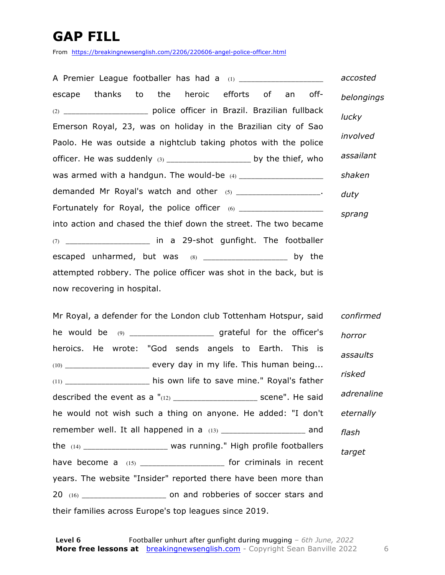### **GAP FILL**

From https://breakingnewsenglish.com/2206/220606-angel-police-officer.html

A Premier League footballer has had a (1) \_\_\_\_\_\_\_\_\_\_\_\_\_\_\_\_\_\_\_ escape thanks to the heroic efforts of an off- (2) \_\_\_\_\_\_\_\_\_\_\_\_\_\_\_\_\_\_\_\_\_ police officer in Brazil. Brazilian fullback Emerson Royal, 23, was on holiday in the Brazilian city of Sao Paolo. He was outside a nightclub taking photos with the police officer. He was suddenly  $(3)$  \_\_\_\_\_\_\_\_\_\_\_\_\_\_\_\_\_\_\_\_\_\_\_ by the thief, who was armed with a handgun. The would-be (4) \_\_\_\_\_\_\_\_\_\_\_\_\_\_\_\_\_\_\_\_\_ demanded Mr Royal's watch and other (5) \_\_\_\_\_\_\_\_\_\_\_\_\_\_\_\_\_\_\_\_\_. Fortunately for Royal, the police officer (6) \_\_\_\_\_\_\_\_\_\_\_\_\_\_\_\_\_\_\_\_\_\_\_\_\_\_\_\_\_\_\_\_\_\_ into action and chased the thief down the street. The two became  $(7)$  in a 29-shot gunfight. The footballer escaped unharmed, but was  $(8)$  \_\_\_\_\_\_\_\_\_\_\_\_\_\_\_\_\_\_\_\_\_\_\_ by the attempted robbery. The police officer was shot in the back, but is now recovering in hospital. *accosted belongings lucky involved assailant shaken duty sprang*

Mr Royal, a defender for the London club Tottenham Hotspur, said he would be (9) \_\_\_\_\_\_\_\_\_\_\_\_\_\_\_\_\_\_\_\_\_\_ grateful for the officer's heroics. He wrote: "God sends angels to Earth. This is  $(10)$  every day in my life. This human being... (11) \_\_\_\_\_\_\_\_\_\_\_\_\_\_\_\_\_\_\_\_\_ his own life to save mine." Royal's father described the event as a  $"(12)$  \_\_\_\_\_\_\_\_\_\_\_\_\_\_\_\_\_\_\_\_\_\_\_\_\_\_ scene". He said he would not wish such a thing on anyone. He added: "I don't remember well. It all happened in a  $(13)$  \_\_\_\_\_\_\_\_\_\_\_\_\_\_\_\_\_\_\_\_\_\_ and the (14) \_\_\_\_\_\_\_\_\_\_\_\_\_\_\_\_\_\_\_\_\_ was running." High profile footballers have become a (15) \_\_\_\_\_\_\_\_\_\_\_\_\_\_\_\_\_\_\_\_\_\_\_ for criminals in recent years. The website "Insider" reported there have been more than 20 (16) \_\_\_\_\_\_\_\_\_\_\_\_\_\_\_\_\_\_\_\_\_ on and robberies of soccer stars and their families across Europe's top leagues since 2019. *confirmed horror assaults risked adrenaline eternally flash target*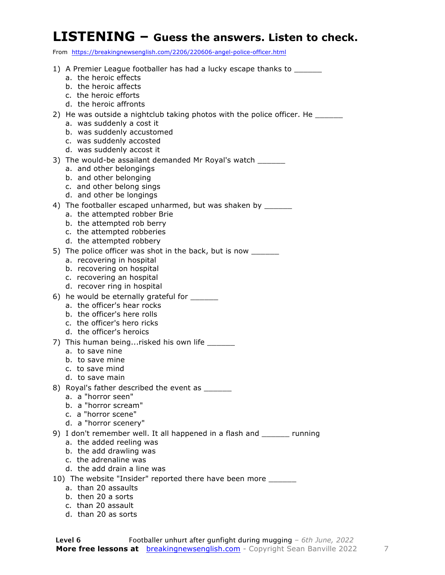#### **LISTENING – Guess the answers. Listen to check.**

From https://breakingnewsenglish.com/2206/220606-angel-police-officer.html

1) A Premier League footballer has had a lucky escape thanks to a. the heroic effects b. the heroic affects c. the heroic efforts d. the heroic affronts 2) He was outside a nightclub taking photos with the police officer. He a. was suddenly a cost it b. was suddenly accustomed c. was suddenly accosted d. was suddenly accost it 3) The would-be assailant demanded Mr Royal's watch \_\_\_\_\_\_ a. and other belongings b. and other belonging c. and other belong sings d. and other be longings 4) The footballer escaped unharmed, but was shaken by \_\_\_\_\_\_ a. the attempted robber Brie b. the attempted rob berry c. the attempted robberies d. the attempted robbery 5) The police officer was shot in the back, but is now \_\_\_\_\_\_ a. recovering in hospital b. recovering on hospital c. recovering an hospital d. recover ring in hospital 6) he would be eternally grateful for a. the officer's hear rocks b. the officer's here rolls c. the officer's hero ricks d. the officer's heroics 7) This human being...risked his own life a. to save nine b. to save mine c. to save mind d. to save main 8) Royal's father described the event as a. a "horror seen" b. a "horror scream" c. a "horror scene" d. a "horror scenery" 9) I don't remember well. It all happened in a flash and \_\_\_\_\_\_ running a. the added reeling was b. the add drawling was c. the adrenaline was d. the add drain a line was 10) The website "Insider" reported there have been more a. than 20 assaults b. then 20 a sorts c. than 20 assault d. than 20 as sorts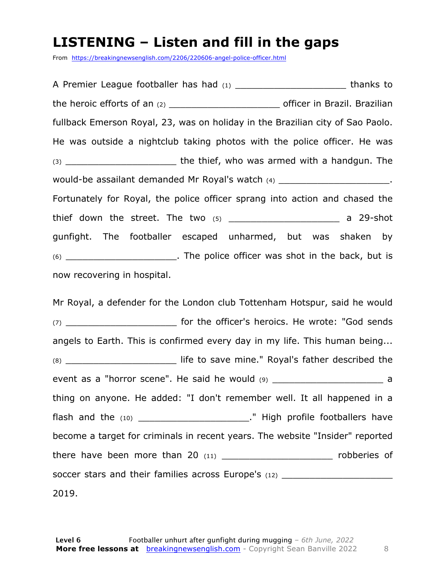#### **LISTENING – Listen and fill in the gaps**

From https://breakingnewsenglish.com/2206/220606-angel-police-officer.html

A Premier League footballer has had (1) \_\_\_\_\_\_\_\_\_\_\_\_\_\_\_\_\_\_\_\_\_\_\_\_\_\_\_\_ thanks to the heroic efforts of an (2) \_\_\_\_\_\_\_\_\_\_\_\_\_\_\_\_\_\_\_\_ officer in Brazil. Brazilian fullback Emerson Royal, 23, was on holiday in the Brazilian city of Sao Paolo. He was outside a nightclub taking photos with the police officer. He was (3) **the thief, who was armed with a handgun. The** would-be assailant demanded Mr Royal's watch (4) **would-be assailant demanded Mr Royal's watch** Fortunately for Royal, the police officer sprang into action and chased the thief down the street. The two  $(5)$  \_\_\_\_\_\_\_\_\_\_\_\_\_\_\_\_\_\_\_\_\_\_\_\_\_\_\_ a 29-shot gunfight. The footballer escaped unharmed, but was shaken by (6) \_\_\_\_\_\_\_\_\_\_\_\_\_\_\_\_\_\_\_\_. The police officer was shot in the back, but is now recovering in hospital.

Mr Royal, a defender for the London club Tottenham Hotspur, said he would (7) \_\_\_\_\_\_\_\_\_\_\_\_\_\_\_\_\_\_\_\_ for the officer's heroics. He wrote: "God sends angels to Earth. This is confirmed every day in my life. This human being... (8) \_\_\_\_\_\_\_\_\_\_\_\_\_\_\_\_\_\_\_\_ life to save mine." Royal's father described the event as a "horror scene". He said he would  $(9)$  \_\_\_\_\_\_\_\_\_\_\_\_\_\_\_\_\_\_\_\_\_\_\_\_\_\_\_\_\_\_\_ a thing on anyone. He added: "I don't remember well. It all happened in a flash and the (10) \_\_\_\_\_\_\_\_\_\_\_\_\_\_\_\_\_\_\_\_\_\_\_\_." High profile footballers have become a target for criminals in recent years. The website "Insider" reported there have been more than 20  $(11)$  \_\_\_\_\_\_\_\_\_\_\_\_\_\_\_\_\_\_\_\_\_\_\_\_\_\_\_\_\_ robberies of soccer stars and their families across Europe's (12) \_\_\_\_\_\_\_\_\_\_\_\_\_\_\_\_\_\_\_\_\_\_\_\_\_\_\_ 2019.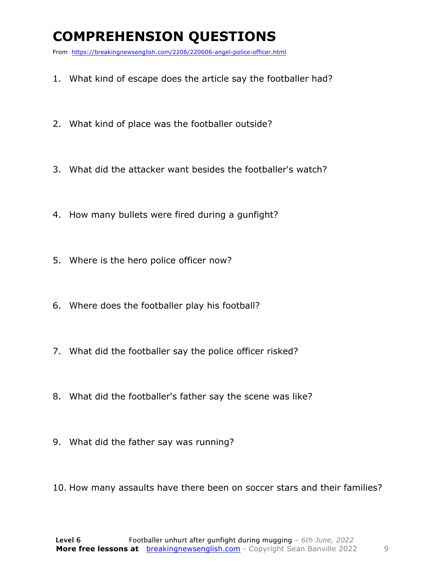### **COMPREHENSION QUESTIONS**

From https://breakingnewsenglish.com/2206/220606-angel-police-officer.html

- 1. What kind of escape does the article say the footballer had?
- 2. What kind of place was the footballer outside?
- 3. What did the attacker want besides the footballer's watch?
- 4. How many bullets were fired during a gunfight?
- 5. Where is the hero police officer now?
- 6. Where does the footballer play his football?
- 7. What did the footballer say the police officer risked?
- 8. What did the footballer's father say the scene was like?
- 9. What did the father say was running?
- 10. How many assaults have there been on soccer stars and their families?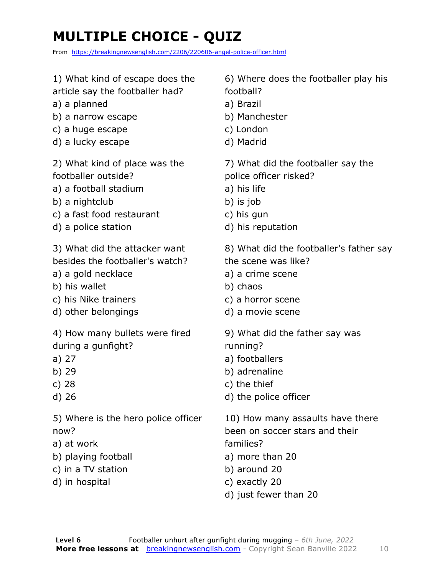### **MULTIPLE CHOICE - QUIZ**

From https://breakingnewsenglish.com/2206/220606-angel-police-officer.html

| 1) What kind of escape does the                                                                                          | 6) Where does the footballer play his                                                                                                                        |
|--------------------------------------------------------------------------------------------------------------------------|--------------------------------------------------------------------------------------------------------------------------------------------------------------|
| article say the footballer had?                                                                                          | football?                                                                                                                                                    |
| a) a planned                                                                                                             | a) Brazil                                                                                                                                                    |
| b) a narrow escape                                                                                                       | b) Manchester                                                                                                                                                |
| c) a huge escape                                                                                                         | c) London                                                                                                                                                    |
| d) a lucky escape                                                                                                        | d) Madrid                                                                                                                                                    |
| 2) What kind of place was the                                                                                            | 7) What did the footballer say the                                                                                                                           |
| footballer outside?                                                                                                      | police officer risked?                                                                                                                                       |
| a) a football stadium                                                                                                    | a) his life                                                                                                                                                  |
| b) a nightclub                                                                                                           | b) is job                                                                                                                                                    |
| c) a fast food restaurant                                                                                                | c) his gun                                                                                                                                                   |
| d) a police station                                                                                                      | d) his reputation                                                                                                                                            |
| 3) What did the attacker want                                                                                            | 8) What did the footballer's father say                                                                                                                      |
| besides the footballer's watch?                                                                                          | the scene was like?                                                                                                                                          |
| a) a gold necklace                                                                                                       | a) a crime scene                                                                                                                                             |
| b) his wallet                                                                                                            | b) chaos                                                                                                                                                     |
| c) his Nike trainers                                                                                                     | c) a horror scene                                                                                                                                            |
| d) other belongings                                                                                                      | d) a movie scene                                                                                                                                             |
| 4) How many bullets were fired                                                                                           | 9) What did the father say was                                                                                                                               |
| during a gunfight?                                                                                                       | running?                                                                                                                                                     |
| a) 27                                                                                                                    | a) footballers                                                                                                                                               |
| b) 29                                                                                                                    | b) adrenaline                                                                                                                                                |
| c) $28$                                                                                                                  | c) the thief                                                                                                                                                 |
| d) 26                                                                                                                    | d) the police officer                                                                                                                                        |
| 5) Where is the hero police officer<br>now?<br>a) at work<br>b) playing football<br>c) in a TV station<br>d) in hospital | 10) How many assaults have there<br>been on soccer stars and their<br>families?<br>a) more than 20<br>b) around 20<br>c) exactly 20<br>d) just fewer than 20 |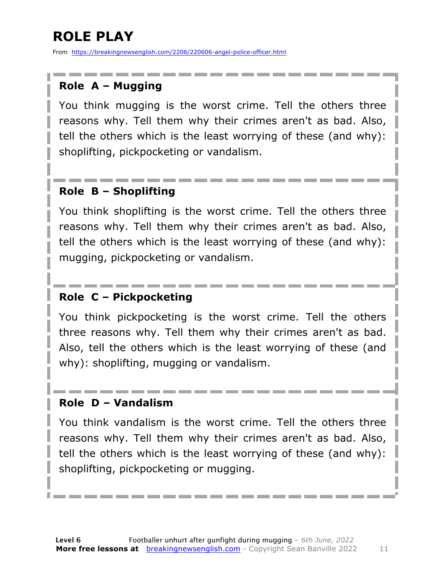### **ROLE PLAY**

From https://breakingnewsenglish.com/2206/220606-angel-police-officer.html

#### **Role A – Mugging**

You think mugging is the worst crime. Tell the others three reasons why. Tell them why their crimes aren't as bad. Also, tell the others which is the least worrying of these (and why): shoplifting, pickpocketing or vandalism.

#### **Role B – Shoplifting**

You think shoplifting is the worst crime. Tell the others three reasons why. Tell them why their crimes aren't as bad. Also, tell the others which is the least worrying of these (and why): mugging, pickpocketing or vandalism.

#### **Role C – Pickpocketing**

You think pickpocketing is the worst crime. Tell the others three reasons why. Tell them why their crimes aren't as bad. Also, tell the others which is the least worrying of these (and why): shoplifting, mugging or vandalism.

#### **Role D – Vandalism**

You think vandalism is the worst crime. Tell the others three reasons why. Tell them why their crimes aren't as bad. Also, tell the others which is the least worrying of these (and why): shoplifting, pickpocketing or mugging.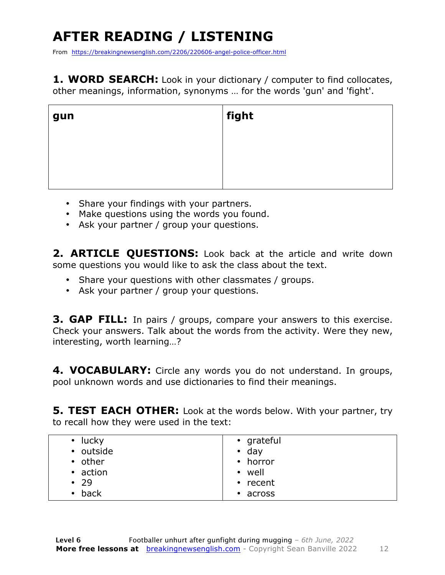## **AFTER READING / LISTENING**

From https://breakingnewsenglish.com/2206/220606-angel-police-officer.html

1. WORD SEARCH: Look in your dictionary / computer to find collocates, other meanings, information, synonyms … for the words 'gun' and 'fight'.

| gun | $\vert$ fight |
|-----|---------------|
|     |               |
|     |               |

- Share your findings with your partners.
- Make questions using the words you found.
- Ask your partner / group your questions.

2. **ARTICLE OUESTIONS:** Look back at the article and write down some questions you would like to ask the class about the text.

- Share your questions with other classmates / groups.
- Ask your partner / group your questions.

**3. GAP FILL:** In pairs / groups, compare your answers to this exercise. Check your answers. Talk about the words from the activity. Were they new, interesting, worth learning…?

**4. VOCABULARY:** Circle any words you do not understand. In groups, pool unknown words and use dictionaries to find their meanings.

**5. TEST EACH OTHER:** Look at the words below. With your partner, try to recall how they were used in the text:

| • grateful     |
|----------------|
| $\cdot$ day    |
| $\cdot$ horror |
| • well         |
| • recent       |
| $\cdot$ across |
|                |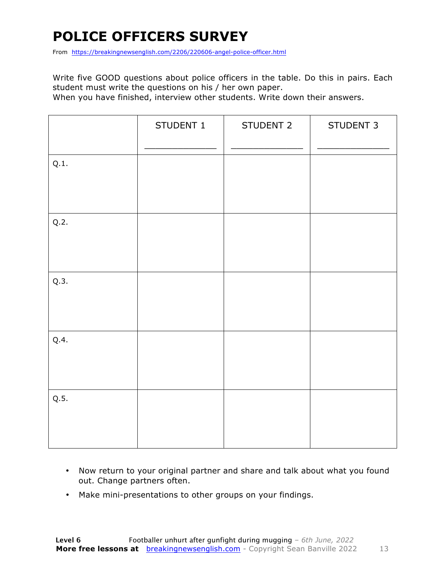### **POLICE OFFICERS SURVEY**

From https://breakingnewsenglish.com/2206/220606-angel-police-officer.html

Write five GOOD questions about police officers in the table. Do this in pairs. Each student must write the questions on his / her own paper.

When you have finished, interview other students. Write down their answers.

|      | STUDENT 1 | STUDENT 2 | STUDENT 3 |
|------|-----------|-----------|-----------|
| Q.1. |           |           |           |
| Q.2. |           |           |           |
| Q.3. |           |           |           |
| Q.4. |           |           |           |
| Q.5. |           |           |           |

- Now return to your original partner and share and talk about what you found out. Change partners often.
- Make mini-presentations to other groups on your findings.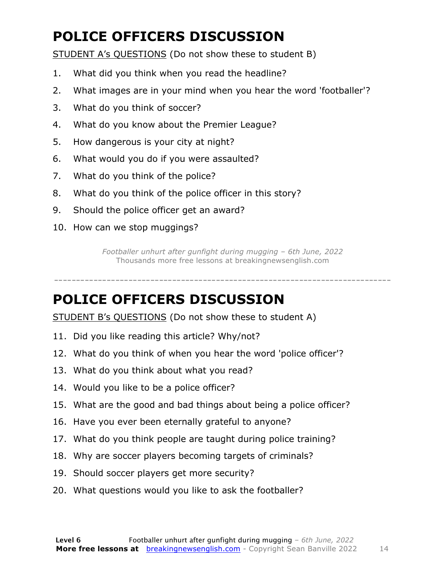### **POLICE OFFICERS DISCUSSION**

STUDENT A's QUESTIONS (Do not show these to student B)

- 1. What did you think when you read the headline?
- 2. What images are in your mind when you hear the word 'footballer'?
- 3. What do you think of soccer?
- 4. What do you know about the Premier League?
- 5. How dangerous is your city at night?
- 6. What would you do if you were assaulted?
- 7. What do you think of the police?
- 8. What do you think of the police officer in this story?
- 9. Should the police officer get an award?
- 10. How can we stop muggings?

*Footballer unhurt after gunfight during mugging – 6th June, 2022* Thousands more free lessons at breakingnewsenglish.com

-----------------------------------------------------------------------------

#### **POLICE OFFICERS DISCUSSION**

STUDENT B's QUESTIONS (Do not show these to student A)

- 11. Did you like reading this article? Why/not?
- 12. What do you think of when you hear the word 'police officer'?
- 13. What do you think about what you read?
- 14. Would you like to be a police officer?
- 15. What are the good and bad things about being a police officer?
- 16. Have you ever been eternally grateful to anyone?
- 17. What do you think people are taught during police training?
- 18. Why are soccer players becoming targets of criminals?
- 19. Should soccer players get more security?
- 20. What questions would you like to ask the footballer?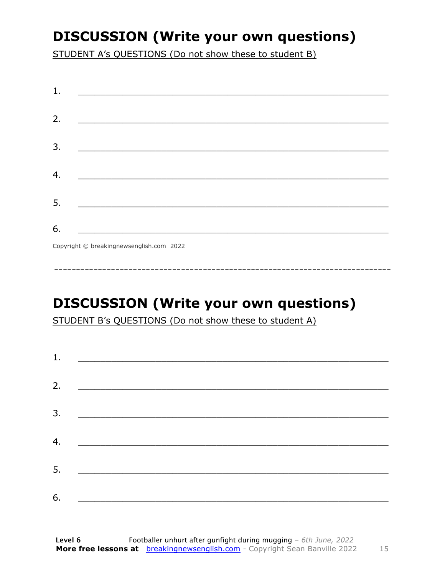### **DISCUSSION (Write your own questions)**

STUDENT A's QUESTIONS (Do not show these to student B)

| 1. |                                          |
|----|------------------------------------------|
|    |                                          |
| 2. |                                          |
|    |                                          |
| 3. |                                          |
|    |                                          |
| 4. |                                          |
|    |                                          |
| 5. |                                          |
|    |                                          |
| 6. |                                          |
|    | Copyright © breakingnewsenglish.com 2022 |

### **DISCUSSION (Write your own questions)**

STUDENT B's QUESTIONS (Do not show these to student A)

| 1. |                                                                                                                         |  |  |
|----|-------------------------------------------------------------------------------------------------------------------------|--|--|
|    |                                                                                                                         |  |  |
| 2. | <u> 1980 - Antonio Alemania, prima prestava postala de la provincia de la provincia de la provincia de la provincia</u> |  |  |
| 3. | <u> 1980 - Andrea Andrew Maria (h. 1980).</u>                                                                           |  |  |
|    |                                                                                                                         |  |  |
| 4. | <u> 1980 - Jan Barbara Barat, martin da basar da basar da basar da basar da basar da basar da basar da basar da b</u>   |  |  |
| 5. | <u> 1986 - Johann Stoff, deutscher Stoff und der Stoff und der Stoff und der Stoff und der Stoff und der Stoff und</u>  |  |  |
|    |                                                                                                                         |  |  |
| 6. |                                                                                                                         |  |  |

15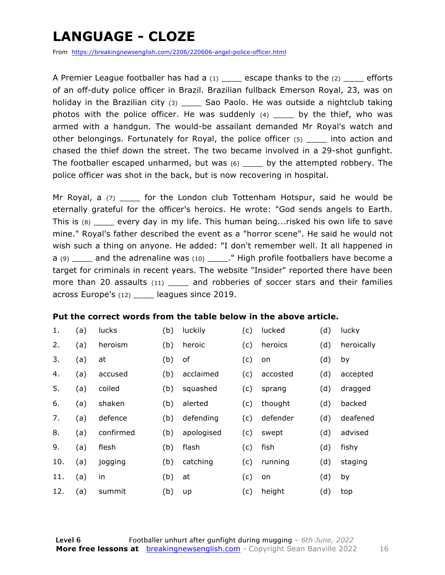### **LANGUAGE - CLOZE**

From https://breakingnewsenglish.com/2206/220606-angel-police-officer.html

A Premier League footballer has had a  $(1)$  escape thanks to the  $(2)$  efforts of an off-duty police officer in Brazil. Brazilian fullback Emerson Royal, 23, was on holiday in the Brazilian city (3) \_\_\_\_\_ Sao Paolo. He was outside a nightclub taking photos with the police officer. He was suddenly  $(4)$  \_\_\_\_\_ by the thief, who was armed with a handgun. The would-be assailant demanded Mr Royal's watch and other belongings. Fortunately for Royal, the police officer (5) \_\_\_\_ into action and chased the thief down the street. The two became involved in a 29-shot gunfight. The footballer escaped unharmed, but was (6) \_\_\_\_ by the attempted robbery. The police officer was shot in the back, but is now recovering in hospital.

Mr Royal, a  $(7)$  \_\_\_\_ for the London club Tottenham Hotspur, said he would be eternally grateful for the officer's heroics. He wrote: "God sends angels to Earth. This is (8) \_\_\_\_ every day in my life. This human being...risked his own life to save mine." Royal's father described the event as a "horror scene". He said he would not wish such a thing on anyone. He added: "I don't remember well. It all happened in a  $(9)$  and the adrenaline was  $(10)$  ." High profile footballers have become a target for criminals in recent years. The website "Insider" reported there have been more than 20 assaults (11) \_\_\_\_\_ and robberies of soccer stars and their families across Europe's (12) \_\_\_\_ leagues since 2019.

#### **Put the correct words from the table below in the above article.**

| 1.  | (a) | lucks     | (b) | luckily    | (c) | lucked   | (d) | lucky      |
|-----|-----|-----------|-----|------------|-----|----------|-----|------------|
| 2.  | (a) | heroism   | (b) | heroic     | (c) | heroics  | (d) | heroically |
| 3.  | (a) | at        | (b) | of         | (c) | on       | (d) | by         |
| 4.  | (a) | accused   | (b) | acclaimed  | (c) | accosted | (d) | accepted   |
| 5.  | (a) | coiled    | (b) | squashed   | (c) | sprang   | (d) | dragged    |
| 6.  | (a) | shaken    | (b) | alerted    | (c) | thought  | (d) | backed     |
| 7.  | (a) | defence   | (b) | defending  | (c) | defender | (d) | deafened   |
| 8.  | (a) | confirmed | (b) | apologised | (c) | swept    | (d) | advised    |
| 9.  | (a) | flesh     | (b) | flash      | (c) | fish     | (d) | fishy      |
| 10. | (a) | jogging   | (b) | catching   | (c) | running  | (d) | staging    |
| 11. | (a) | in        | (b) | at         | (c) | on       | (d) | by         |
| 12. | (a) | summit    | (b) | up         | (c) | height   | (d) | top        |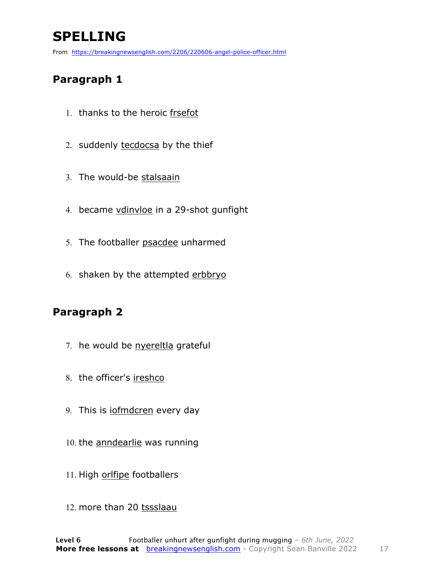### **SPELLING**

From https://breakingnewsenglish.com/2206/220606-angel-police-officer.html

#### **Paragraph 1**

- 1. thanks to the heroic frsefot
- 2. suddenly tecdocsa by the thief
- 3. The would-be stalsaain
- 4. became vdinvloe in a 29-shot gunfight
- 5. The footballer psacdee unharmed
- 6. shaken by the attempted erbbryo

#### **Paragraph 2**

- 7. he would be nyereltla grateful
- 8. the officer's ireshco
- 9. This is iofmdcren every day
- 10. the anndearlie was running
- 11. High orlfipe footballers
- 12. more than 20 tssslaau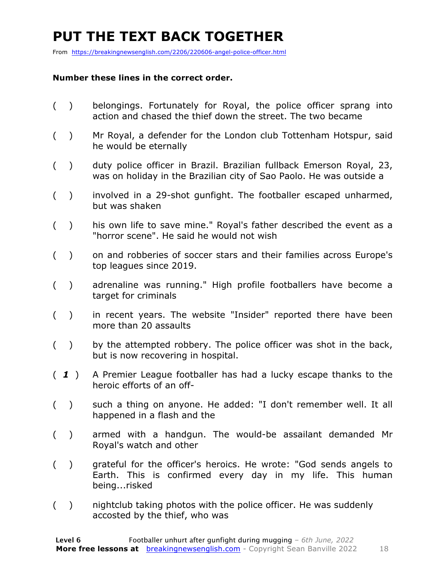### **PUT THE TEXT BACK TOGETHER**

From https://breakingnewsenglish.com/2206/220606-angel-police-officer.html

#### **Number these lines in the correct order.**

- ( ) belongings. Fortunately for Royal, the police officer sprang into action and chased the thief down the street. The two became
- ( ) Mr Royal, a defender for the London club Tottenham Hotspur, said he would be eternally
- ( ) duty police officer in Brazil. Brazilian fullback Emerson Royal, 23, was on holiday in the Brazilian city of Sao Paolo. He was outside a
- ( ) involved in a 29-shot gunfight. The footballer escaped unharmed, but was shaken
- ( ) his own life to save mine." Royal's father described the event as a "horror scene". He said he would not wish
- ( ) on and robberies of soccer stars and their families across Europe's top leagues since 2019.
- ( ) adrenaline was running." High profile footballers have become a target for criminals
- ( ) in recent years. The website "Insider" reported there have been more than 20 assaults
- ( ) by the attempted robbery. The police officer was shot in the back, but is now recovering in hospital.
- ( *1* ) A Premier League footballer has had a lucky escape thanks to the heroic efforts of an off-
- ( ) such a thing on anyone. He added: "I don't remember well. It all happened in a flash and the
- ( ) armed with a handgun. The would-be assailant demanded Mr Royal's watch and other
- ( ) grateful for the officer's heroics. He wrote: "God sends angels to Earth. This is confirmed every day in my life. This human being...risked
- ( ) nightclub taking photos with the police officer. He was suddenly accosted by the thief, who was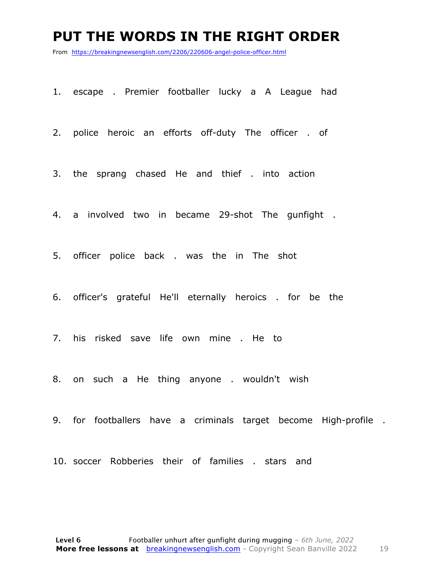#### **PUT THE WORDS IN THE RIGHT ORDER**

From https://breakingnewsenglish.com/2206/220606-angel-police-officer.html

1. escape . Premier footballer lucky a A League had

2. police heroic an efforts off-duty The officer . of

3. the sprang chased He and thief . into action

4. a involved two in became 29-shot The gunfight .

5. officer police back . was the in The shot

6. officer's grateful He'll eternally heroics . for be the

7. his risked save life own mine . He to

8. on such a He thing anyone . wouldn't wish

9. for footballers have a criminals target become High-profile .

10. soccer Robberies their of families . stars and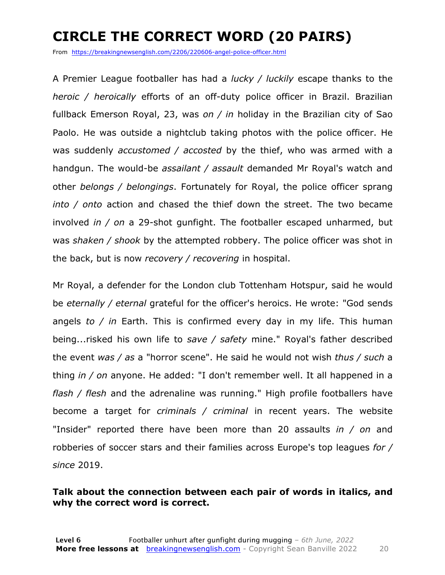### **CIRCLE THE CORRECT WORD (20 PAIRS)**

From https://breakingnewsenglish.com/2206/220606-angel-police-officer.html

A Premier League footballer has had a *lucky / luckily* escape thanks to the *heroic / heroically* efforts of an off-duty police officer in Brazil. Brazilian fullback Emerson Royal, 23, was *on / in* holiday in the Brazilian city of Sao Paolo. He was outside a nightclub taking photos with the police officer. He was suddenly *accustomed / accosted* by the thief, who was armed with a handgun. The would-be *assailant / assault* demanded Mr Royal's watch and other *belongs / belongings*. Fortunately for Royal, the police officer sprang *into / onto* action and chased the thief down the street. The two became involved *in / on* a 29-shot gunfight. The footballer escaped unharmed, but was *shaken / shook* by the attempted robbery. The police officer was shot in the back, but is now *recovery / recovering* in hospital.

Mr Royal, a defender for the London club Tottenham Hotspur, said he would be *eternally / eternal* grateful for the officer's heroics. He wrote: "God sends angels *to / in* Earth. This is confirmed every day in my life. This human being...risked his own life to *save / safety* mine." Royal's father described the event *was / as* a "horror scene". He said he would not wish *thus / such* a thing *in / on* anyone. He added: "I don't remember well. It all happened in a *flash / flesh* and the adrenaline was running." High profile footballers have become a target for *criminals / criminal* in recent years. The website "Insider" reported there have been more than 20 assaults *in / on* and robberies of soccer stars and their families across Europe's top leagues *for / since* 2019.

#### **Talk about the connection between each pair of words in italics, and why the correct word is correct.**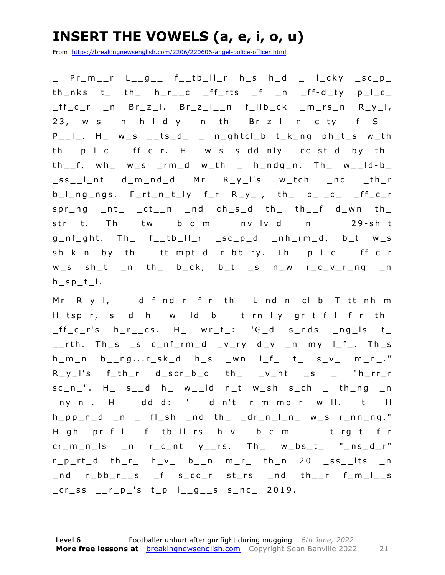### **INSERT THE VOWELS (a, e, i, o, u)**

From https://breakingnewsenglish.com/2206/220606-angel-police-officer.html

\_ Pr\_m\_\_r L\_\_g\_\_ f\_\_tb\_ll\_r h\_s h\_d \_ l\_cky \_sc\_p\_ th\_nks t\_ th\_ h\_r\_\_c \_ff\_rts \_f \_n \_ff - d\_ty p\_l\_c\_  $_{f_{c}}$  $_{c}$ r \_n Br\_z\_l. Br\_z\_l\_\_n f\_llb\_ck \_m\_rs\_n R\_y\_l, 23,  $w_s$  n h\_I\_d\_y \_n th\_ Br\_z\_I\_\_n c\_ty \_f S\_\_  $P_1$ , H  $W_S$   $_1$   $K_0$   $n_1$   $n_2$   $n_3$   $n_4$   $n_5$   $n_1$   $n_6$  $th$   $p_l_c$   $c$   $ff_c$ ,  $H$   $w_s$  s  $dd_n$   $n_l$   $cc$   $st_d$  by  $th$  $th_{--}f$ , wh\_ w\_s \_rm\_d w\_th \_ h\_ndg\_n. Th\_ w\_\_ld-b\_ \_ss\_\_l\_nt d\_m\_nd\_d Mr R\_y\_l's w\_tch \_nd \_th\_r b\_l\_ng\_ngs. F\_rt\_n\_t\_ly f\_r R\_y\_l, th\_ p\_l\_c\_ \_ff\_c\_r  $spr\_ng$   $_nt$   $_ct$ <sub>-</sub>n  $nd$   $ch$ <sub>-</sub>s<sub>-</sub>d  $th$ <sub>-</sub>  $th$ <sub>--</sub>f  $d$ <sub>-</sub>wn  $th$ <sub>-</sub>  $str\_t$ . Th tw b $cc\_m$   $nv\_lv\_d$   $n$   $29-sh\_t$  $g_n$ f\_ght. Th\_ f\_\_tb\_II\_r \_sc\_p\_d \_nh\_rm\_d, b\_t w\_s sh\_k\_n by th\_ \_tt\_mpt\_d r\_bb\_ry. Th\_ p\_l\_c\_ \_ff\_c\_r w\_s sh\_t \_n th\_ b\_ck, b\_t \_s n\_w r\_c\_v\_r\_ng \_n  $h_sp_t$ .

 $Mr R_y_l, \t d_f_dr$  fr th L\_nd\_n cl\_b T\_tt\_nh\_m  $H_t$ tsp $r$ , s $d$  h $d$  w $d$  db $t$  timelly gritistic functions  $_{f_{c}}$   $_{f_{c}}$   $_{f_{c}}$   $_{f_{c}}$   $_{f_{c}}$   $_{f_{c}}$   $_{f_{c}}$   $_{f_{c}}$   $_{f_{c}}$   $_{f_{c}}$   $_{f_{c}}$   $_{f_{c}}$   $_{f_{c}}$   $_{f_{c}}$   $_{f_{c}}$   $_{f_{c}}$   $_{f_{c}}$   $_{f_{c}}$   $_{f_{c}}$   $_{f_{c}}$   $_{f_{c}}$   $_{f_{c}}$   $_{f_{c}}$   $_{f_{c}}$   $_{f_{c}}$   $_{f_{c}}$   $_{f_{c}}$   $_{f_{c$ \_\_rth. Th\_s \_s c\_nf\_rm\_d \_v\_ry d\_y \_n my l\_f\_. Th\_s  $h_{m}$ n  $b_{n}$ ng...r\_sk\_d  $h_{m}$ s \_wn l\_f\_ t\_ s\_v\_ m\_n\_."  $R_y$ <sup>-</sup>s f<sub>-</sub>th<sub>-</sub>r d<sub>-</sub>scr<sub>-</sub>b<sub>-</sub>d th<sub>-</sub> \_v<sub>-</sub>nt \_s \_ "h<sub>-</sub>rr<sub>-</sub>r  $sc_n$ . H  $s_d$  d h  $w_d$  d n t w sh s ch th ng n  $\Box$ ny\_n\_. H\_ \_dd\_d: "\_ d\_n't r\_m\_mb\_r w\_ll. \_t \_ll h\_pp\_n\_d \_n \_ fl\_sh \_nd th\_ \_dr\_n\_l\_n\_ w\_s r\_nn\_ng." H\_gh pr\_f\_l\_ f\_\_tb\_ll\_rs h\_v\_ b\_c\_m\_ \_ t\_rg\_t f\_r  $cr_m_nls$   $n$   $r_c_nt$   $y_rrs$ . Th  $w_bst$  "ns\_d\_r"  $r_p_{rt_d}$  th\_r\_ h\_v\_ b\_\_n m\_r\_ th\_n 20 \_ss\_\_lts \_n \_nd r\_bb\_r\_\_s \_f s\_cc\_r st\_rs \_nd th\_\_r f\_m\_l\_\_s  $cr$ \_ss  $_{r}$  $_{r}$  $_{p}$ 's  $t$ <sub>p</sub>  $l$ <sub> $_{g}$ </sub> $_{g}$  $_{s}$  s<sub> $_{n}$ </sub> $nc$  2019.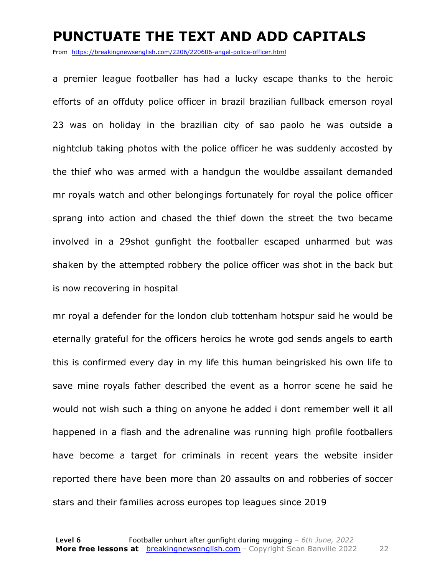#### **PUNCTUATE THE TEXT AND ADD CAPITALS**

From https://breakingnewsenglish.com/2206/220606-angel-police-officer.html

a premier league footballer has had a lucky escape thanks to the heroic efforts of an offduty police officer in brazil brazilian fullback emerson royal 23 was on holiday in the brazilian city of sao paolo he was outside a nightclub taking photos with the police officer he was suddenly accosted by the thief who was armed with a handgun the wouldbe assailant demanded mr royals watch and other belongings fortunately for royal the police officer sprang into action and chased the thief down the street the two became involved in a 29shot gunfight the footballer escaped unharmed but was shaken by the attempted robbery the police officer was shot in the back but is now recovering in hospital

mr royal a defender for the london club tottenham hotspur said he would be eternally grateful for the officers heroics he wrote god sends angels to earth this is confirmed every day in my life this human beingrisked his own life to save mine royals father described the event as a horror scene he said he would not wish such a thing on anyone he added i dont remember well it all happened in a flash and the adrenaline was running high profile footballers have become a target for criminals in recent years the website insider reported there have been more than 20 assaults on and robberies of soccer stars and their families across europes top leagues since 2019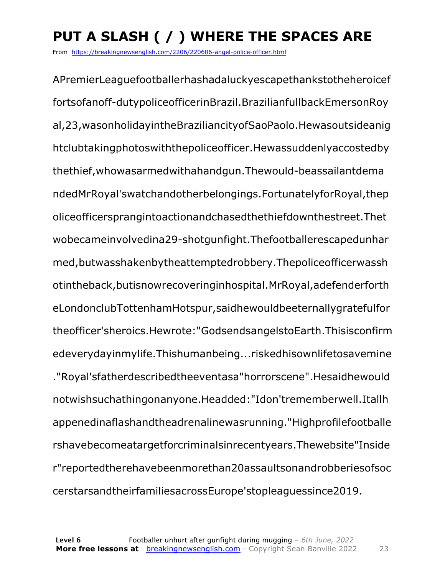## **PUT A SLASH ( / ) WHERE THE SPACES ARE**

From https://breakingnewsenglish.com/2206/220606-angel-police-officer.html

APremierLeaguefootballerhashadaluckyescapethankstotheheroicef fortsofanoff-dutypoliceofficerinBrazil.BrazilianfullbackEmersonRoy al,23,wasonholidayintheBraziliancityofSaoPaolo.Hewasoutsideanig htclubtakingphotoswiththepoliceofficer.Hewassuddenlyaccostedby thethief,whowasarmedwithahandgun.Thewould-beassailantdema ndedMrRoyal'swatchandotherbelongings.FortunatelyforRoyal,thep oliceofficersprangintoactionandchasedthethiefdownthestreet.Thet wobecameinvolvedina29-shotgunfight.Thefootballerescapedunhar med,butwasshakenbytheattemptedrobbery.Thepoliceofficerwassh otintheback,butisnowrecoveringinhospital.MrRoyal,adefenderforth eLondonclubTottenhamHotspur,saidhewouldbeeternallygratefulfor theofficer'sheroics.Hewrote:"GodsendsangelstoEarth.Thisisconfirm edeverydayinmylife.Thishumanbeing...riskedhisownlifetosavemine ."Royal'sfatherdescribedtheeventasa"horrorscene".Hesaidhewould notwishsuchathingonanyone.Headded:"Idon'trememberwell.Itallh appenedinaflashandtheadrenalinewasrunning."Highprofilefootballe rshavebecomeatargetforcriminalsinrecentyears.Thewebsite"Inside r"reportedtherehavebeenmorethan20assaultsonandrobberiesofsoc cerstarsandtheirfamiliesacrossEurope'stopleaguessince2019.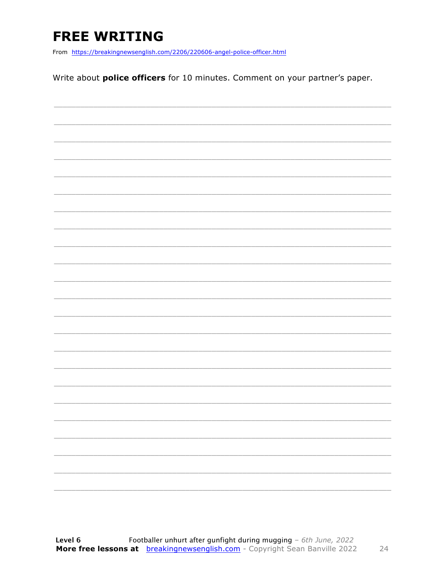### **FREE WRITING**

From https://breakingnewsenglish.com/2206/220606-angel-police-officer.html

Write about **police officers** for 10 minutes. Comment on your partner's paper.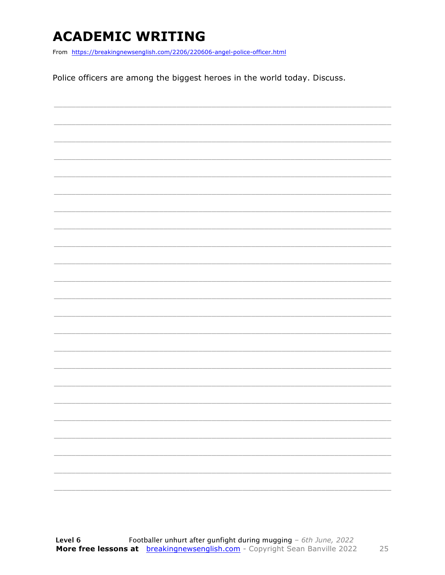### **ACADEMIC WRITING**

From https://breakingnewsenglish.com/2206/220606-angel-police-officer.html

Police officers are among the biggest heroes in the world today. Discuss.

|  |  | $\qquad \qquad -$ |
|--|--|-------------------|
|  |  |                   |
|  |  | $\frac{1}{2}$     |
|  |  | -                 |
|  |  |                   |
|  |  | -                 |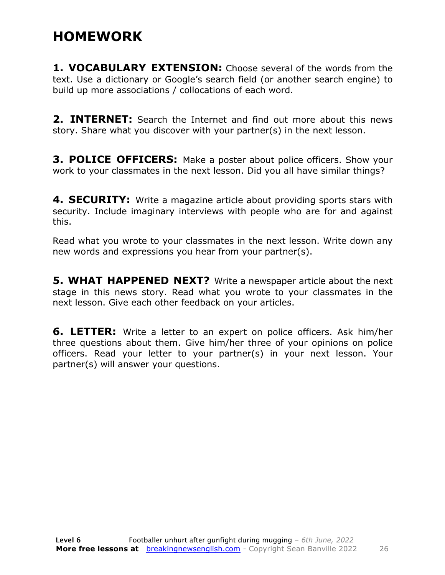### **HOMEWORK**

**1. VOCABULARY EXTENSION:** Choose several of the words from the text. Use a dictionary or Google's search field (or another search engine) to build up more associations / collocations of each word.

**2. INTERNET:** Search the Internet and find out more about this news story. Share what you discover with your partner(s) in the next lesson.

**3. POLICE OFFICERS:** Make a poster about police officers. Show your work to your classmates in the next lesson. Did you all have similar things?

**4. SECURITY:** Write a magazine article about providing sports stars with security. Include imaginary interviews with people who are for and against this.

Read what you wrote to your classmates in the next lesson. Write down any new words and expressions you hear from your partner(s).

**5. WHAT HAPPENED NEXT?** Write a newspaper article about the next stage in this news story. Read what you wrote to your classmates in the next lesson. Give each other feedback on your articles.

**6. LETTER:** Write a letter to an expert on police officers. Ask him/her three questions about them. Give him/her three of your opinions on police officers. Read your letter to your partner(s) in your next lesson. Your partner(s) will answer your questions.